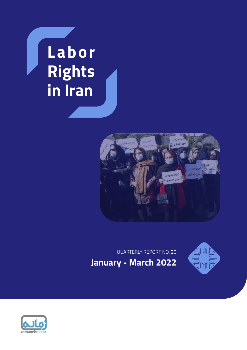# **Labor Rights in Iran**



QUARTERLY REPORT NO. 20





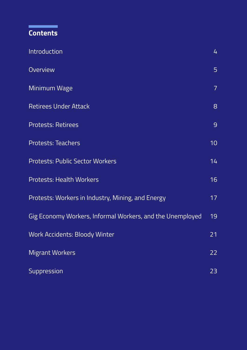# **Contents**

г

| Introduction                                              | 4               |
|-----------------------------------------------------------|-----------------|
| Overview                                                  | 5               |
| Minimum Wage                                              | $\overline{7}$  |
| <b>Retirees Under Attack</b>                              | 8               |
| <b>Protests: Retirees</b>                                 | 9               |
| <b>Protests: Teachers</b>                                 | 10 <sub>1</sub> |
| <b>Protests: Public Sector Workers</b>                    | 14              |
| <b>Protests: Health Workers</b>                           | 16              |
| Protests: Workers in Industry, Mining, and Energy         | 17              |
| Gig Economy Workers, Informal Workers, and the Unemployed | $\overline{19}$ |
| <b>Work Accidents: Bloody Winter</b>                      | 21              |
| <b>Migrant Workers</b>                                    | 22              |
| Suppression                                               | 23              |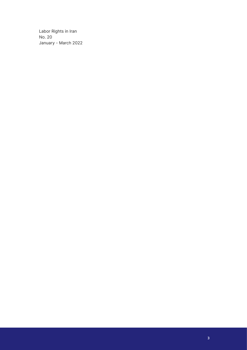Labor Rights in Iran No. 20 January - March 2022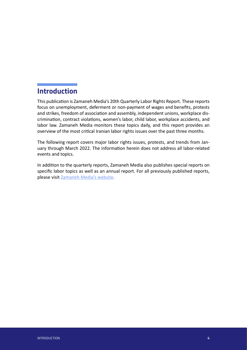# <span id="page-3-0"></span>**Introduction**

This publication is Zamaneh Media's 20th Quarterly Labor Rights Report. These reports focus on unemployment, deferment or non-payment of wages and benefits, protests and strikes, freedom of association and assembly, independent unions, workplace discrimination, contract violations, women's labor, child labor, workplace accidents, and labor law. Zamaneh Media monitors these topics daily, and this report provides an overview of the most critical Iranian labor rights issues over the past three months.

The following report covers major labor rights issues, protests, and trends from January through March 2022. The information herein does not address all labor-related events and topics.

In addition to the quarterly reports, Zamaneh Media also publishes special reports on specific labor topics as well as an annual report. For all previously published reports, please visit [Zamaneh Media's website](https://en.radiozamaneh.com/labor/).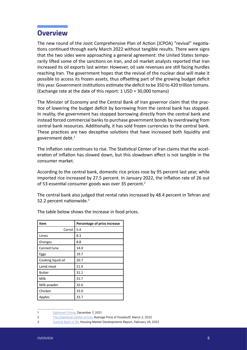### <span id="page-4-0"></span>**Overview**

The new round of the Joint Comprehensive Plan of Action (JCPOA) "revival" negotiations continued through early March 2022 without tangible results. There were signs that the two sides were approaching a general agreement: the United States temporarily lifted some of the sanctions on Iran, and oil market analysts reported that Iran increased its oil exports last winter. However, oil sale revenues are still facing hurdles reaching Iran. The government hopes that the revival of the nuclear deal will make it possible to access its frozen assets, thus offsetting part of the growing budget deficit this year. Government institutions estimate the deficit to be 350 to 420 trillion tomans. (Exchange rate at the date of this report: 1 USD  $\approx$  30,000 tomans)

The Minister of Economy and the Central Bank of Iran governor claim that the practice of lowering the budget deficit by borrowing from the central bank has stopped. In reality, the government has stopped borrowing directly from the central bank and instead forced commercial banks to purchase government bonds by overdrawing from central bank resources. Additionally, it has sold frozen currencies to the central bank. These practices are two deceptive solutions that have increased both liquidity and government debt. $1$ 

The inflation rate continues to rise. The Statistical Center of Iran claims that the acceleration of inflation has slowed down, but this slowdown effect is not tangible in the consumer market.

According to the central bank, domestic rice prices rose by 95 percent last year, while imported rice increased by 27.5 percent. In January 2022, the inflation rate of 26 out of 53 essential consumer goods was over 35 percent.<sup>2</sup>

The central bank also judged that rental rates increased by 48.4 percent in Tehran and 52.2 percent nationwide.<sup>3</sup>

| Item               | Percentage of price increase |
|--------------------|------------------------------|
| Carrot             | 5.4                          |
| Limes              | 8.3                          |
| Oranges            | 8.8                          |
| Canned tuna        | 14.0                         |
| Eggs               | 19.7                         |
| Cooking liquid oil | 20.7                         |
| Lamb meat          | 21.9                         |
| <b>Butter</b>      | 31.1                         |
| Milk               | 31.7                         |
| Milk powder        | 32.6                         |
| Chicken            | 33.0                         |
| Apples             | 33.7                         |

The table below shows the increase in food prices.

<sup>1</sup> [Eghtesad Online,](https://www.eghtesadonline.com/%D8%A8%D8%AE%D8%B4-%D8%A8%D8%A7%D9%86%DA%A9-%D8%A8%DB%8C%D9%85%D9%87-190/587678-%D8%AF%D9%88%D9%84%D8%AA-%DA%86%D8%A7%D9%BE-%D9%BE%D9%88%D9%84) December 7, 2021

<sup>2</sup> [The Statistical Center of Iran,](https://www.amar.org.ir/Portals/0/News/1400/shgkhrk0011.pdf?ver=OEyWaMpVdukm5eHV8hwO_A%3d%3d) Average Price of Foodstuff, March 2, 2022

<sup>3</sup> [Central Bank of IRI](https://www.cbi.ir/showitem/22925.aspx), Housing Market Developments Report, February 26, 2022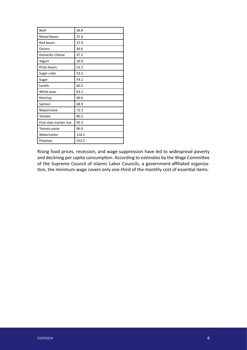| <b>Beef</b>              | 36.8  |
|--------------------------|-------|
| Mixed beans              | 37.0  |
| Red beans                | 37.9  |
| Onions                   | 46.6  |
| Domestic cheese          | 47.2  |
| Yogurt                   | 50.9  |
| Pinto beans              | 52.3  |
| Sugar cube               | 53.5  |
| Sugar                    | 54.1  |
| Lentils                  | 60.2  |
| White peas               | 63.2  |
| Ketchup                  | 66.6  |
| Salmon                   | 68.9  |
| Mayonnaise               | 72.3  |
| Tomato                   | 80.2  |
| First class Iranian rice | 95.3  |
| Tomato paste             | 96.9  |
| Watermelon               | 118.1 |
| Potatoes                 | 152.2 |

Rising food prices, recession, and wage suppression have led to widespread poverty and declining per capita consumption. According to estimates by the Wage Committee of the Supreme Council of Islamic Labor Councils, a government-affiliated organization, the minimum wage covers only one-third of the monthly cost of essential items.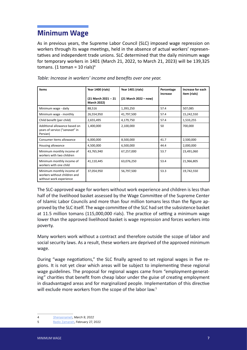# <span id="page-6-0"></span>**Minimum Wage**

As in previous years, the Supreme Labor Council (SLC) imposed wage repression on workers through its wage meetings, held in the absence of actual workers' representatives and independent trade unions. SLC determined that the daily minimum wage for temporary workers in 1401 (March 21, 2022, to March 21, 2023) will be 139,325 tomans. (1 toman = 10 rials)<sup>4</sup>

| Items                                                                                | Year 1400 (rials)                          | Year 1401 (rials)     | Percentage<br>increase | Increase for each<br>item (rials) |
|--------------------------------------------------------------------------------------|--------------------------------------------|-----------------------|------------------------|-----------------------------------|
|                                                                                      | (21 March 2021 -- 21<br><b>March 2022)</b> | (21 March 2022 – now) |                        |                                   |
| Minimum wage - daily                                                                 | 88,516                                     | 1,393,250             | 57.4                   | 507,085                           |
| Minimum wage - monthly                                                               | 26,554,950                                 | 41,797,500            | 57.4                   | 15,242,550                        |
| Child benefit (per child)                                                            | 2,655,495                                  | 4,179,750             | 57.4                   | 1,533,255                         |
| Additional allowance based on<br>years of service ("sanavat" in<br>Persian)          | 1,400,000                                  | 2,100,000             | 50                     | 700,000                           |
| Consumer items allowance                                                             | 6,000,000                                  | 8,500,000             | 41.7                   | 2,500,000                         |
| Housing allowance                                                                    | 4,500,000                                  | 6,500,000             | 44.4                   | 2,000,000                         |
| Minimum monthly income of<br>workers with two children                               | 43,765,940                                 | 67,257,000            | 53.7                   | 23,491,060                        |
| Minimum monthly income of<br>workers with one child                                  | 41,110,445                                 | 63,076,250            | 53.4                   | 21,966,805                        |
| Minimum monthly income of<br>workers without children and<br>without work experience | 37,054,950                                 | 56,797,500            | 53.3                   | 19,742,550                        |

*Table: Increase in workers' income and benefits over one year.*

The SLC-approved wage for workers without work experience and children is less than half of the livelihood basket assessed by the Wage Committee of the Supreme Center of Islamic Labor Councils and more than four million tomans less than the figure approved by the SLC itself. The wage committee of the SLC had set the subsistence basket at 11.5 million tomans (115,000,000 rials). The practice of setting a minimum wage lower than the approved livelihood basket is wage repression and forces workers into poverty.

Many workers work without a contract and therefore outside the scope of labor and social security laws. As a result, these workers are deprived of the approved minimum wage.

During "wage negotiations," the SLC finally agreed to set regional wages in five regions. It is not yet clear which areas will be subject to implementing these regional wage guidelines. The proposal for regional wages came from "employment-generating" charities that benefit from cheap labor under the guise of creating employment in disadvantaged areas and for marginalized people. Implementation of this directive will exclude more workers from the scope of the labor law.<sup>5</sup>

<sup>4</sup> [Shenasnameh,](https://shenasname.ir/kar/37442-%D8%AC%D8%AF%D9%88%D9%84-%D8%AD%D9%82%D9%88%D9%82-%D8%AF%D8%B3%D8%AA%D9%85%D8%B2%D8%AF-1401) March 9, 2022

<sup>5</sup> [Radio Zamaneh](https://www.radiozamaneh.com/705991), February 27, 2022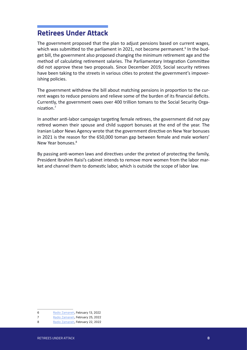#### <span id="page-7-0"></span>**Retirees Under Attack**

The government proposed that the plan to adjust pensions based on current wages, which was submitted to the parliament in 2021, not become permanent.<sup>6</sup> In the budget bill, the government also proposed changing the minimum retirement age and the method of calculating retirement salaries. The Parliamentary Integration Committee did not approve these two proposals. Since December 2019, Social security retirees have been taking to the streets in various cities to protest the government's impoverishing policies.

The government withdrew the bill about matching pensions in proportion to the current wages to reduce pensions and relieve some of the burden of its financial deficits. Currently, the government owes over 400 trillion tomans to the Social Security Organization.7

In another anti-labor campaign targeting female retirees, the government did not pay retired women their spouse and child support bonuses at the end of the year. The Iranian Labor News Agency wrote that the government directive on New Year bonuses in 2021 is the reason for the 650,000 toman gap between female and male workers' New Year bonuses.<sup>8</sup>

By passing anti-women laws and directives under the pretext of protecting the family, President Ibrahim Raisi's cabinet intends to remove more women from the labor market and channel them to domestic labor, which is outside the scope of labor law.

<sup>6</sup> [Radio Zamaneh](https://www.radiozamaneh.com/704094), February 13, 2022

<sup>7</sup> [Radio Zamaneh](https://www.radiozamaneh.com/705848), February 25, 2022

<sup>8</sup> [Radio Zamaneh](https://www.radiozamaneh.com/705259), February 22, 2022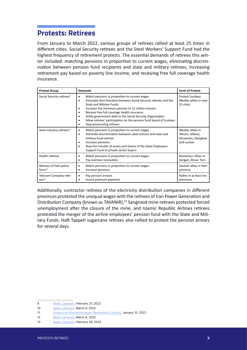## <span id="page-8-0"></span>**Protests: Retirees**

From January to March 2022, various groups of retirees rallied at least 25 times in different cities. Social Security retirees and the Steel Workers' Support Fund had the highest frequency of retirement protests. The essential demands of retirees this winter included: matching pensions in proportion to current wages, eliminating discrimination between pension fund recipients and state and military retirees, increasing retirement pay based on poverty line income, and receiving free full coverage health insurance.

| <b>Protest Group</b>                           | <b>Demands</b>                                                                                                                                                                                                                                                                                                                                                                                                              | <b>Form of Protest</b>                                                    |
|------------------------------------------------|-----------------------------------------------------------------------------------------------------------------------------------------------------------------------------------------------------------------------------------------------------------------------------------------------------------------------------------------------------------------------------------------------------------------------------|---------------------------------------------------------------------------|
| Social Security retirees <sup>9</sup>          | Match pensions in proportion to current wages<br>Eliminate discrimination between Social Security retirees and the<br><b>State and Military Funds</b><br>Increase the minimum pension to 12 million tomans<br>Receive free full coverage health insurance<br>Settle government debt to the Social Security Organization<br>Allow retirees' participation on the pension fund board of trustees<br>Stop prosecuting retirees | Protest Sundays:<br>Weekly rallies in over<br>15 cities                   |
| Steel industry retirees <sup>10</sup>          | Match pensions in proportion to current wages<br>Eliminate discrimination between steel retirees and state and<br>military fund retirees<br>Increase pensions<br>Stop the transfer of assets and shares of the Steel Employees<br>Support Fund to private sector buyers                                                                                                                                                     | Weekly rallies in<br>Tehran, Isfahan,<br>Khuzestan, Damghan<br>and Lushan |
| <b>Health retirees</b>                         | Match pensions in proportion to current wages<br>Pay overdue receivables                                                                                                                                                                                                                                                                                                                                                    | Numerous rallies in<br>Gorgan, Ahvaz, Fars                                |
| Retirees of Ilam police<br>force <sup>11</sup> | Match pensions in proportion to current wages<br>Increase pensions                                                                                                                                                                                                                                                                                                                                                          | Several rallies in Ilam<br>province                                       |
| Telecom Company retir-<br>ees <sup>12</sup>    | Pay pension arrears<br>Insure premium payment                                                                                                                                                                                                                                                                                                                                                                               | Rallies in at least ten<br>provinces                                      |

Additionally, contractor retirees of the electricity distribution companies in different provinces protested the unequal wages with the retirees of Iran Power Generation and Distribution Company (known as TAVANIR),<sup>13</sup> Sangrood mine retirees protested forced unemployment after the closure of the mine, and Islamic Republic Airlines retirees protested the merger of the airline employees' pension fund with the State and Military Funds. Haft Tappeh sugarcane retirees also rallied to protest the pension arrears for several days.

<sup>9</sup> [Radio Zamaneh](https://www.radiozamaneh.info/706000), February 27, 2022

<sup>10</sup> [Radio Zamaneh](https://www.radiozamaneh.info/706845), March 6, 2022

<sup>11</sup> [Showra-ye-Bazneshastegan](https://t.me/Shbazneshasteganir/18235) (Retirement Council), January 10, 2022

<sup>12</sup> [Radio Zamaneh](https://www.radiozamaneh.info/707205), March 8, 2022

<sup>13</sup> [Radio Zamaneh](https://www.radiozamaneh.info/706970), February 26, 2022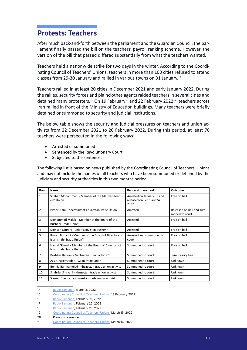#### <span id="page-9-0"></span>**Protests: Teachers**

After much back-and-forth between the parliament and the Guardian Council, the parliament finally passed the bill on the teachers' payroll ranking scheme. However, the version of the bill that passed differed substantially from what the teachers wanted.

Teachers held a nationwide strike for two days in the winter. According to the Coordinating Council of Teachers' Unions, teachers in more than 100 cities refused to attend classes from 29-30 January and rallied in various towns on 31 January.14

Teachers rallied in at least 20 cities in December 2021 and early January 2022. During the rallies, security forces and plainclothes agents raided teachers in several cities and detained many protesters.<sup>15</sup> On 19 February<sup>16</sup> and 22 February 2022<sup>17</sup>, teachers across Iran rallied in front of the Ministry of Education buildings. Many teachers were briefly detained or summoned to security and judicial institutions.<sup>18</sup>

The below table shows the security and judicial pressures on teachers and union activists from 22 December 2021 to 20 February 2022. During this period, at least 70 teachers were persecuted in the following ways:

- Arrested or summoned
- • Sentenced by the Revolutionary Court
- Subjected to the sentences

The following list is based on news published by the Coordinating Council of Teachers' Unions and may not include the names of all teachers who have been summoned or detained by the judiciary and security authorities in this two months period.

| Row            | <b>Name</b>                                                                                  | <b>Repression method</b>                                       | Outcome                                     |
|----------------|----------------------------------------------------------------------------------------------|----------------------------------------------------------------|---------------------------------------------|
| $\mathbf{1}$   | Shaban Mohammadi - Member of the Marivan Teach-<br>ers' Union                                | Arrested on January 30 and<br>released on February 24,<br>2022 | Free on bail                                |
| $\overline{2}$ | Pirooz Nami - Secretary of Khuzestan Trade Union                                             | Arrested                                                       | Released on bail and sum-<br>moned to court |
| 3              | Mohammad Malaki - Member of the Board of the<br><b>Bushehr Trade Union</b>                   | Arrested                                                       | Free on bail                                |
| 4              | Mohsen Omrani - union activist in Bushehr                                                    | Arrested                                                       | Free on bail                                |
| 5              | Rasoul Bodaghi - Member of the Board of Directors of<br>Islamshahr Trade Union <sup>19</sup> | Arrested and summoned to<br>court                              | Free on bail                                |
| 6              | Hamid Ghandi - Member of the Board of Directors of<br>Islamshahr Trade Union <sup>20</sup>   | Summoned to court                                              | Free on bail                                |
| $\overline{7}$ | Bakhtiar Rezvani - Gachsaran union activist <sup>21</sup>                                    | Summoned to court                                              | Temporarily free                            |
| 8              | Aziz Ghasemzadeh - Gilan trade union                                                         | Summoned to court                                              | Unknown                                     |
| 9              | Behnia Bahmainejad - Khuzestan trade union activist                                          | Summoned to court                                              | Unknown                                     |
| 10             | Shahriar Shirvani - Khuzestan trade union activist                                           | Summoned to court                                              | Unknown                                     |
| 11             | Siamak Chehrazi - Khuzestan trade union activist                                             | Summoned to court                                              | Unknown                                     |

<sup>14</sup> [Radio Zamaneh](https://www.radiozamaneh.com/702450), March 8, 2022

<sup>15</sup> [Coordinating Council of Teachers' Unions](https://t.me/kashowra/5706), 13 February 2022

<sup>16</sup> [Radio Zamaneh](https://www.radiozamaneh.com/704821), February 19, 2022

<sup>17</sup> [Radio Zamaneh](https://www.radiozamaneh.com/705232), February 22, 2022

<sup>18</sup> [Radio Zamaneh](https://www.radiozamaneh.com/704961), February 20, 2022

<sup>19</sup> [Coordinating Council of Teachers' Unions](https://t.me/kashowra/9077), March 15, 2022

<sup>20</sup> Previous reference

<sup>21</sup> [Coordinating Council of Teachers' Unions](https://t.me/kashowra/9075), March 14, 2022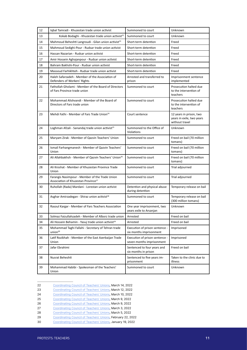| 12 | Igbal Tamradi - Khuzestan trade union activist                                                    | Summoned to court                                           | Unknown                                                                |
|----|---------------------------------------------------------------------------------------------------|-------------------------------------------------------------|------------------------------------------------------------------------|
| 13 | Kokab Bodaghi - Khuzestan trade union activist <sup>22</sup>                                      | Summoned to court                                           | Unknown                                                                |
| 14 | Mahmoud Beheshti Langroudi - Gilan union activist <sup>23</sup>                                   | Short-term detention                                        | Freed                                                                  |
| 15 | Mahmoud Sedighi-Pour - Rudsar trade union activist                                                | Short-term detention                                        | Freed                                                                  |
| 16 | Hassan Nazarian - Rudsar union activist                                                           | Short-term detention                                        | Freed                                                                  |
| 17 | Amir Hossein Aghajanpour - Rudsar union activist                                                  | Short-term detention                                        | Freed                                                                  |
| 18 | Bahram Bakhshi-Pour - Rudsar union activist                                                       | Short-term detention                                        | Freed                                                                  |
| 19 | Massoud Farhikhteh - Rudsar trade union activist                                                  | Short-term detention                                        | Freed                                                                  |
| 20 | Haleh Safarzadeh - Member of the Association of<br>Defenders of Workers' Rights                   | Arrested and transferred to<br>prison                       | Imprisonment sentence<br>implemented                                   |
| 21 | Fathollah Gholami - Member of the Board of Directors<br>of Fars Province trade union              | Summoned to court                                           | Prosecution halted due<br>to the intervention of<br>teachers           |
| 22 | Mohammad Alishvandi - Member of the Board of<br>Directors of Fars trade union                     | Summoned to court                                           | Prosecution halted due<br>to the intervention of<br>teachers           |
| 23 | Mehdi Fathi - Member of Fars Trade Union <sup>24</sup>                                            | Court sentence                                              | 12 years in prison, two<br>years in exile, two years<br>without travel |
| 24 | Loghman Afzali - Sanandaj trade union activist <sup>25</sup>                                      | Summoned to the Office of<br>Violations                     | Unknown                                                                |
| 25 | Maryam Zirak - Member of Qazvin Teachers' Union                                                   | Summoned to court                                           | Freed on bail (70 million<br>tomans)                                   |
| 26 | Ismail Farhangmanesh - Member of Qazvin Teachers'<br>Union                                        | Summoned to court                                           | Freed on bail (70 million<br>tomans)                                   |
| 27 | Ali Allahbakhsh - Member of Qazvin Teachers' Union <sup>26</sup>                                  | Summoned to court                                           | Freed on bail (70 million<br>tomans)                                   |
| 28 | Ali Kroshat - Member of Khuzestan Province Trade<br>Union                                         | Summoned to court                                           | Trial adjourned                                                        |
| 29 | Farangis Nasimpour - Member of the Trade Union<br>Association of Khuzestan Province <sup>27</sup> | Summoned to court                                           | Trial adjourned                                                        |
| 30 | Ruhollah (Rada) Mardani - Lorestan union activist                                                 | Detention and physical abuse<br>during detention            | Temporary release on bail                                              |
| 31 | Asghar Amirzadegan - Shiraz union activist <sup>28</sup>                                          | Summoned to court                                           | Temporary release on bail<br>(300 million tomans)                      |
| 32 | Rasoul Kargar - Member of Fars Teachers Association                                               | One year imprisonment, two<br>years exile to Arsanjan       | Unknown                                                                |
| 33 | Solmaz Faizullahzadeh - Member of Alborz trade union                                              | Arrested                                                    | Freed on bail                                                          |
| 34 | Ali Hossein Behamin - Yasuj trade union activist <sup>29</sup>                                    | Arrested                                                    | Freed on bail                                                          |
| 35 | Mohammad Taghi Fallahi - Secretary of Tehran trade<br>union <sup>30</sup>                         | Execution of prison sentence -<br>six months imprisonment   | Imprisoned                                                             |
| 36 | Latif Rozikhah - Member of the East Azerbaijan Trade<br>Union                                     | Execution of prison sentence -<br>seven months imprisonment | Imprisoned                                                             |
| 37 | Jafar Ebrahimi                                                                                    | Sentenced to four years and<br>six months in prison         | Freed on bail                                                          |
| 38 | Nusrat Beheshti                                                                                   | Sentenced to five years im-<br>prisonment                   | Taken to the clinic due to<br>illness                                  |
| 39 | Mohammad Habibi - Spokesman of the Teachers'<br>Union                                             | Summoned to court                                           | Unknown                                                                |

<sup>22</sup> [Coordinating Council of Teachers' Unions](https://t.me/kashowra/9067), March 14, 2022

<sup>23</sup> [Coordinating Council of Teachers' Unions](https://t.me/kashowra/9045), March 12, 2022

<sup>24</sup> [Coordinating Council of Teachers' Unions](https://t.me/kashowra/9025), March 10, 2022

<sup>25</sup> [Coordinating Council of Teachers' Unions](https://t.me/kashowra/9014), March 9, 2022

<sup>26</sup> [Coordinating Council of Teachers' Unions](https://t.me/kashowra/9013), March 9, 2022

<sup>27</sup> [Coordinating Council of Teachers' Unions](https://t.me/kashowra/8978), March 3, 2022

<sup>28</sup> [Coordinating Council of Teachers' Unions](https://t.me/kashowra/8989), March 5, 2022

<sup>29</sup> [Coordinating Council of Teachers' Unions](https://t.me/kashowra/8765), February 22, 2022

<sup>30</sup> [Coordinating Council of Teachers' Unions](https://t.me/kashowra/5730), January 19, 2022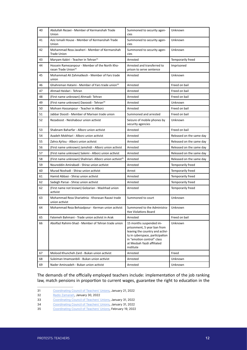| 40 | Abdullah Rezaei - Member of Kermanshah Trade<br>Union                             | Summoned to security agen-<br>cies                                                                                                                                                                    | Unknown                  |
|----|-----------------------------------------------------------------------------------|-------------------------------------------------------------------------------------------------------------------------------------------------------------------------------------------------------|--------------------------|
| 41 | Aziz Ismaili House - Member of Kermanshah Trade<br>Union                          | Summoned to security agen-<br>cies                                                                                                                                                                    | Unknown                  |
| 42 | Mohammad Reza Javaheri - Member of Kermanshah<br><b>Trade Union</b>               | Summoned to security agen-<br>cies                                                                                                                                                                    | Unknown                  |
| 43 | Maryam Kabiri - Teacher in Tehran <sup>31</sup>                                   | Arrested                                                                                                                                                                                              | Temporarily freed        |
| 44 | Hossein Ramezanpour - Member of the North Kho-<br>rasan Trade Union <sup>32</sup> | Arrested and transferred to<br>prison to serve sentence                                                                                                                                               | Imprisoned               |
| 45 | Mohammad Ali Zahmatkesh - Member of Fars trade<br>union                           | Arrested                                                                                                                                                                                              | Unknown                  |
| 46 | Ghahreman Hatami - Member of Fars trade union <sup>33</sup>                       | Arrested                                                                                                                                                                                              | Freed on bail            |
| 47 | Ahmad Heidari - Tehran                                                            | Arrested                                                                                                                                                                                              | Freed on bail            |
| 48 | (First name unknown) Ahmadi- Tehran                                               | Arrested                                                                                                                                                                                              | Freed on bail            |
| 49 | (First name unknown) Davoodi - Tehran <sup>34</sup>                               | Arrested                                                                                                                                                                                              | Unknown                  |
| 50 | Mohsen Hassanpour - Teacher in Alborz                                             | Arrested                                                                                                                                                                                              | Freed on bail            |
| 51 | Jabbar Doosti - Member of Marivan trade union                                     | Summoned and arrested                                                                                                                                                                                 | Freed on bail            |
| 52 | Rezadoost - Neishabour union activist                                             | Seizure of mobile phones by<br>security agencies                                                                                                                                                      | Unknown                  |
| 53 | Shabnam Baharfar - Alborz union activist                                          | Arrested                                                                                                                                                                                              | Freed on bail            |
| 54 | Azadeh Mokhtari - Alborz union activist                                           | Arrested                                                                                                                                                                                              | Released on the same day |
| 55 | Zahra Ajrlou - Alborz union activist                                              | Arrested                                                                                                                                                                                              | Released on the same day |
| 56 | (First name unknown) Jamshidi - Alborz union activist                             | Arrested                                                                                                                                                                                              | Released on the same day |
| 57 | (First name unknown) Salemi - Alborz union activist                               | Arrested                                                                                                                                                                                              | Released on the same day |
| 58 | (First name unknown) Shahriari- Alborz union activist <sup>35</sup>               | Arrested                                                                                                                                                                                              | Released on the same day |
| 59 | Noureddin Amirabadi - Shiraz union activist                                       | Arrested                                                                                                                                                                                              | Temporarily freed        |
| 60 | Murad Noshadi - Shiraz union activist                                             | Arrest                                                                                                                                                                                                | Temporarily freed        |
| 61 | Hamid Abbasi - Shiraz union activist                                              | Arrested                                                                                                                                                                                              | Temporarily freed        |
| 62 | Sadegh Parsai - Shiraz union activist                                             | Arrested                                                                                                                                                                                              | Temporarily freed        |
| 62 | (First name not known) Golzarian - Mashhad union<br>activist                      | Arrested                                                                                                                                                                                              | Temporarily freed        |
| 63 | Mohammad Reza Shariatinia - Khorasan Razavi trade<br>union activist               | Summoned to court                                                                                                                                                                                     | Unknown                  |
| 64 | Mohammad Reza Behzadpour - Kerman union activist                                  | Summoned to the Administra-<br>tive Violations Board                                                                                                                                                  | Unknown                  |
| 65 | Fatemeh Bahmani - Trade union activist in Arak                                    | Arrested                                                                                                                                                                                              | Freed on bail            |
| 66 | Abolfazl Rahimi-Shad - Member of Tehran trade union                               | 15 months suspended im-<br>prisonment, 5 year ban from<br>leaving the country and activi-<br>ty in cyberspace, participation<br>in "emotion control" class<br>at Mesbah Yazdi affiliated<br>institute | Unknown                  |
| 67 | Molood Khuncheh Zard - Bukan union activist                                       | Arrested                                                                                                                                                                                              | Freed                    |
| 68 | Suleiman Imamzanbili - Bukan union activist                                       | Arrested                                                                                                                                                                                              | Unknown                  |
| 69 | Nader Aminzadeh - Bukan union activist                                            | Arrested                                                                                                                                                                                              | Unknown                  |

The demands of the officially employed teachers include: implementation of the job ranking law, match pensions in proportion to current wages, guarantee the right to education in the

<sup>31</sup> [Coordinating Council of Teachers' Unions](https://t.me/kashowra/5745), January 21, 2022

<sup>32</sup> [Radio Zamaneh](https://www.radiozamaneh.com/702324/), January 30, 2022

<sup>33</sup> [Coordinating Council of Teachers' Unions](https://t.me/kashowra/7569), January 31, 2022

<sup>34</sup> [Coordinating Council of Teachers' Unions](https://t.me/kashowra/7562), January 31, 2022

<sup>35</sup> [Coordinating Council of Teachers' Unions](https://t.me/kashowra/8173), February 19, 2022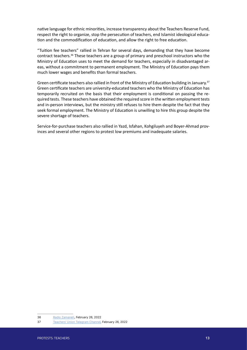native language for ethnic minorities, increase transparency about the Teachers Reserve Fund, respect the right to organize, stop the persecution of teachers, end Islamist ideological education and the commodification of education, and allow the right to free education.

"Tuition fee teachers" rallied in Tehran for several days, demanding that they have become contract teachers.36 These teachers are a group of primary and preschool instructors who the Ministry of Education uses to meet the demand for teachers, especially in disadvantaged areas, without a commitment to permanent employment. The Ministry of Education pays them much lower wages and benefits than formal teachers.

Green certificate teachers also rallied in front of the Ministry of Education building in January.<sup>37</sup> Green certificate teachers are university-educated teachers who the Ministry of Education has temporarily recruited on the basis that their employment is conditional on passing the required tests. These teachers have obtained the required score in the written employment tests and in-person interviews, but the ministry still refuses to hire them despite the fact that they seek formal employment. The Ministry of Education is unwilling to hire this group despite the severe shortage of teachers.

Service-for-purchase teachers also rallied in Yazd, Isfahan, Kohgiluyeh and Boyer-Ahmad provinces and several other regions to protest low premiums and inadequate salaries.

<sup>36</sup> [Radio Zamaneh](https://www.radiozamaneh.info/705986), February 26, 2022

<sup>37</sup> [Teachers' Union Telegram Channel](https://t.me/kasenfi/19854), February 26, 2022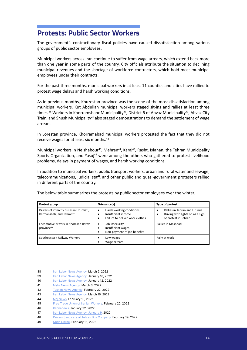#### <span id="page-13-0"></span>**Protests: Public Sector Workers**

The government's contractionary fiscal policies have caused dissatisfaction among various groups of public sector employees.

Municipal workers across Iran continue to suffer from wage arrears, which extend back more than one year in some parts of the country. City officials attribute the situation to declining municipal revenues and the shortage of workforce contractors, which hold most municipal employees under their contracts.

For the past three months, municipal workers in at least 11 counties and cities have rallied to protest wage delays and harsh working conditions.

As in previous months, Khuzestan province was the scene of the most dissatisfaction among municipal workers. Kut Abdullah municipal workers staged sit-ins and rallies at least three times.<sup>38</sup> Workers in Khorramshahr Municipality<sup>39</sup>, District 6 of Ahvaz Municipality<sup>40</sup>, Ahvaz City Train, and Shush Municipality<sup>41</sup> also staged demonstrations to demand the settlement of wage arrears.

In Lorestan province, Khorramabad municipal workers protested the fact that they did not receive wages for at least six months.42

Municipal workers in Neishabour<sup>43</sup>, Mehran<sup>44</sup>, Karaj<sup>45</sup>, Rasht, Isfahan, the Tehran Municipality Sports Organization, and Yasuj<sup>46</sup> were among the others who gathered to protest livelihood problems, delays in payment of wages, and harsh working conditions.

In addition to municipal workers, public transport workers, urban and rural water and sewage, telecommunications, judicial staff, and other public and quasi-government protesters rallied in different parts of the country.

The below table summarizes the protests by public sector employees over the winter.

| Protest group                                                                                | Grievance(s)                                                                                    | Type of protest                                                                          |
|----------------------------------------------------------------------------------------------|-------------------------------------------------------------------------------------------------|------------------------------------------------------------------------------------------|
| Drivers of intercity buses in Urumia <sup>47</sup> ,<br>Kermanshah, and Tehran <sup>48</sup> | Harsh working conditions<br>$\bullet$<br>Insufficient income<br>Failure to deliver work clothes | Rallies in Tehran and Urumia<br>Driving with lights on as a sign<br>of protest in Tehran |
| Locomotive drivers in Khorasan Razavi<br>province <sup>49</sup>                              | Job insecurity<br>٠<br>Insufficient wages<br>Non-payment of job benefits                        | Rallies in Mashhad                                                                       |
| Southeastern Railway Workers                                                                 | Low wages<br>Wage arrears                                                                       | Rally at work                                                                            |

<sup>38</sup> [Iran Labor News Agency,](https://www.ilna.news/%D8%A8%D8%AE%D8%B4-%DA%A9%D8%A7%D8%B1%DA%AF%D8%B1%DB%8C-9/1204553-%DA%A9%D8%A7%D8%B1%DA%AF%D8%B1%D8%A7%D9%86-%D8%B4%D9%87%D8%B1%D8%AF%D8%A7%D8%B1%DB%8C-%DA%A9%D9%88%D8%AA-%D8%B9%D8%A8%D8%AF%D8%A7%D9%84%D9%84%D9%87-%D8%A2%D8%AE%D8%B1%DB%8C%D9%86-%D8%AD%D9%82%D9%88%D9%82%DB%8C-%DA%A9%D9%87-%DA%AF%D8%B1%D9%81%D8%AA%DB%8C%D9%85-%D8%A8%D8%B1%D8%A7%DB%8C-%D8%A2%D8%A8%D8%A7%D9%86-%D8%A8%D9%88%D8%AF%D9%87) March 6, 2022

<sup>39</sup> [Iran Labor News Agency,](https://www.ilna.news/%D8%A8%D8%AE%D8%B4-%DA%A9%D8%A7%D8%B1%DA%AF%D8%B1%DB%8C-9/1184655-%DA%A9%D8%A7%D8%B1%DA%AF%D8%B1%D8%A7%D9%86-%D8%B4%D9%87%D8%B1%D8%AF%D8%A7%D8%B1%DB%8C-%D8%AE%D8%B1%D9%85%D8%B4%D9%87%D8%B1-%D8%AE%D9%88%D8%A7%D8%B3%D8%AA%D8%A7%D8%B1-%D8%B1%D9%88%D8%B4%D9%86-%D8%B4%D8%AF%D9%86-%D9%88%D8%B6%D8%B9%DB%8C%D8%AA-%D9%85%D8%B9%D9%88%D9%82%D8%A7%D8%AA-%D8%AE%D9%88%D8%AF-%D8%B4%D8%AF%D9%86%D8%AF) January 18, 2022

<sup>40</sup> [Iran Labor News Agency,](https://www.ilna.news/%D8%A8%D8%AE%D8%B4-%DA%A9%D8%A7%D8%B1%DA%AF%D8%B1%DB%8C-9/1181822-%D8%A7%D8%B9%D8%AA%D8%B1%D8%A7%D8%B6-%DA%A9%D8%A7%D8%B1%DA%AF%D8%B1%D8%A7%D9%86-%D9%85%D9%86%D8%B7%D9%82%D9%87-%D8%B4%D8%B4-%D8%B4%D9%87%D8%B1%D8%AF%D8%A7%D8%B1%DB%8C-%D8%A7%D9%87%D9%88%D8%A7%D8%B2-%D8%B2%D8%A8%D8%A7%D9%84%D9%87-%D9%87%D8%A7-%D8%AC%D9%85%D8%B9-%D8%A2%D9%88%D8%B1%DB%8C-%D9%86%D8%B4%D8%AF) January 12, 2022

<sup>41</sup> [Mehr News Agency](https://www.mehrnews.com/news/5440217/%DA%A9%D8%A7%D8%B1%DA%AF%D8%B1%D8%A7%D9%86-%D8%B4%D9%87%D8%B1%D8%AF%D8%A7%D8%B1%DB%8C-%D8%B4%D9%88%D8%B4-%D8%AE%D9%88%D8%A7%D8%B3%D8%AA%D8%A7%D8%B1-%D9%BE%D8%B1%D8%AF%D8%A7%D8%AE%D8%AA-%D8%AD%D9%82%D9%88%D9%82%D8%B4%D8%A7%D9%86-%D8%B4%D8%AF%D9%86%D8%AF), March 6, 2022

<sup>42</sup> [Tasnim News Agency,](https://www.tasnimnews.com/fa/news/1400/12/03/2668767/%DA%AF%D8%B2%D8%A7%D8%B1%D8%B4-%D8%B3%D9%81%D8%B1%D9%87-%D8%AE%D8%A7%D9%84%DB%8C-%DA%A9%D8%A7%D8%B1%DA%AF%D8%B1%D8%A7%D9%86-%D8%B4%D9%87%D8%B1%D8%AF%D8%A7%D8%B1%DB%8C-%D8%AE%D8%B1%D9%85-%D8%A2%D8%A8%D8%A7%D8%AF-%D8%AF%D8%B1-%D8%A2%D8%B3%D8%AA%D8%A7%D9%86%D9%87-%D8%B9%DB%8C%D8%AF-%DA%A9%D8%A7%D8%B1%DA%AF%D8%B1%D8%A7%D9%86%DB%8C-%DA%A9%D9%87-6-%D9%85%D8%A7%D9%87-%D8%AD%D9%82%D9%88%D9%82-%D9%86%DA%AF%D8%B1%D9%81%D8%AA%D9%87-%D8%A7%D9%86%D8%AF) February 22, 2022

<sup>43</sup> [Iran Labor News Agency,](https://www.ilna.news/%D8%A8%D8%AE%D8%B4-%DA%A9%D8%A7%D8%B1%DA%AF%D8%B1%DB%8C-9/1209587-%D9%85%D8%B7%D8%A7%D9%84%D8%A8%D8%A7%D8%AA-%D8%B3%D9%86%D9%88%D8%A7%D8%AA%DB%8C-%DA%A9%D8%A7%D8%B1%DA%AF%D8%B1%D8%A7%D9%86-%D9%BE%DB%8C%D9%85%D8%A7%D9%86%DA%A9%D8%A7%D8%B1%DB%8C-%D8%B4%D9%87%D8%B1%D8%AF%D8%A7%D8%B1%DB%8C-%D9%86%DB%8C%D8%B4%D8%A7%D8%A8%D9%88%D8%B1-%D9%BE%D8%B1%D8%AF%D8%A7%D8%AE%D8%AA-%D8%B4%D9%88%D8%AF) March 16, 2022

<sup>44</sup> Moj News, February 16, 2022

<sup>45</sup> [Free Trade Union of Iranian Workers,](https://www.etehad-e.com/%D8%AA%D8%AC%D9%85%D8%B9-%D8%A7%D8%B9%D8%AA%D8%B1%D8%A7%D8%B6%DB%8C-%D9%BE%D8%A7%DA%A9%D8%A8%D8%A7%D9%86%D8%A7%D9%86-%D8%B4%D9%87%D8%B1%D8%AF%D8%A7%D8%B1%DB%8C-%DA%A9%D8%B1%D8%AC-%D8%AF%D8%B1-%D8%A8/) February 20, 2022

<sup>46</sup> [Kebnanews](https://www.kebnanews.ir/news/443801/%D8%AA%D8%AC%D9%85%D8%B9-%DA%A9%D8%A7%D8%B1%DA%AF%D8%B1%D8%A7%D9%86-%D8%B4%D9%87%D8%B1%D8%AF%D8%A7%D8%B1%DB%8C-%DB%8C%D8%A7%D8%B3%D9%88%D8%AC-%D8%AC%D9%84%D9%88%DB%8C-%D8%A7%D8%B3%D8%AA%D8%A7%D9%86%D8%AF%D8%A7%D8%B1%DB%8C-%DA%A9%D9%87%DA%AF%DB%8C%D9%84%D9%88%DB%8C%D9%87-%D8%A8%D9%88%DB%8C%D8%B1%D8%A7%D8%AD%D9%85%D8%AF-5-%D9%85%D8%A7%D9%87-%D8%AD%D9%82%D9%88%D9%82-%D9%86%D9%85%DB%8C-%D8%AF%D9%87%DB%8C%D8%AF-%D8%A8%D8%B9%D8%AF-%D8%AA%D9%87%D8%AF%DB%8C%D8%AF-%D8%A7%D8%AE%D8%B1%D8%A7%D8%AC-%D9%85%DB%8C-%DA%A9%D9%86%DB%8C%D8%AF-%D8%A8%D8%AC%D8%A7%DB%8C-%D9%85%D8%AF%DB%8C%D8%B1%DB%8C%D8%AA-%D8%B6%D8%B9%DB%8C%D9%81-%DA%A9%D8%B4%DB%8C-%D9%85%DB%8C-%DA%A9%D9%86%D8%AF-%D9%81%DB%8C%D9%84%D9%85), January 22, 2022

<sup>47</sup> [Iran Labor News Agency, January 9](https://www.ilna.news/%D8%A8%D8%AE%D8%B4-%D8%A2%D8%B0%D8%B1%D8%A8%D8%A7%DB%8C%D8%AC%D8%A7%D9%86-%D8%BA%D8%B1%D8%A8%DB%8C-83/1180714-%D8%B1%D8%A7%D9%86%D9%86%D8%AF%DA%AF%D8%A7%D9%86-%D8%A7%D8%AA%D9%88%D8%A8%D9%88%D8%B3-%D9%87%D8%A7%DB%8C-%D8%B4%D9%87%D8%B1%DB%8C-%D8%A7%D8%B1%D9%88%D9%85%DB%8C%D9%87-%D8%AF%D8%B3%D8%AA-%D8%A7%D8%B2-%DA%A9%D8%A7%D8%B1-%DA%A9%D8%B4%DB%8C%D8%AF%D9%86%D8%AF), 2022

<sup>48</sup> [Drivers Syndicate of Tehran Bus Company](https://t.me/vahedsyndica/4462), February 19, 2022

<sup>49</sup> [Quds Online](https://www.qudsonline.ir/news/788528/%D8%AA%D8%AC%D9%85%D8%B9-%D9%84%DA%A9%D9%88%D9%85%D9%88%D8%AA%DB%8C%D9%88%D8%B1%D8%A7%D9%86%D8%A7%D9%86-%D9%85%D9%82%D8%A7%D8%A8%D9%84-%D8%B1%D8%A7%D9%87-%D8%A2%D9%87%D9%86-%D9%85%D8%B4%D9%87%D8%AF), February 21, 2022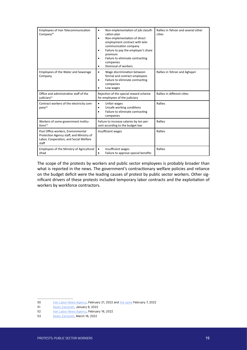| Employees of Iran Telecommunication<br>Company <sup>50</sup>                                                                      | Non-implementation of job classifi-<br>$\bullet$<br>cation plan<br>Non-implementation of direct<br>$\bullet$<br>employment contract with tele-<br>communication company<br>Failure to pay the employer's share<br>٠<br>premium<br>Failure to eliminate contracting<br>companies<br>Dismissal of workers<br>٠ | Rallies in Tehran and several other<br>cities |
|-----------------------------------------------------------------------------------------------------------------------------------|--------------------------------------------------------------------------------------------------------------------------------------------------------------------------------------------------------------------------------------------------------------------------------------------------------------|-----------------------------------------------|
| Employees of the Water and Sewerage<br>Company                                                                                    | Wage discrimination between<br>٠<br>formal and contract employees<br>Failure to eliminate contracting<br>٠<br>companies<br>Low wages                                                                                                                                                                         | Rallies in Tehran and Aghajari                |
| Office and administrative staff of the<br>judiciary <sup>51</sup>                                                                 | Rejection of the special reward scheme<br>for employees of the judiciary                                                                                                                                                                                                                                     | Rallies in different cities                   |
| Contract workers of the electricity com-<br>pany <sup>52</sup>                                                                    | Unfair wages<br>$\bullet$<br>Unsafe working conditions<br>٠<br>Failure to eliminate contracting<br>companies                                                                                                                                                                                                 | Rallies                                       |
| Workers of some government institu-<br>tions <sup>53</sup>                                                                        | Failure to increase salaries by ten per-<br>cent according to the budget law                                                                                                                                                                                                                                 | Rallies                                       |
| Post Office workers, Environmental<br>Protection Agency staff, and Ministry of<br>Labor, Cooperation, and Social Welfare<br>staff | Insufficient wages                                                                                                                                                                                                                                                                                           | Rallies                                       |
| Employees of the Ministry of Agricultural<br>Jihad                                                                                | Insufficient wages<br>Failure to approve special benefits                                                                                                                                                                                                                                                    | Rallies                                       |

The scope of the protests by workers and public sector employees is probably broader than what is reported in the news. The government's contractionary welfare policies and reliance on the budget deficit were the leading causes of protest by public sector workers. Other significant drivers of these protests included temporary labor contracts and the exploitation of workers by workforce contractors.

<sup>50</sup> [Iran Labor News Agency,](https://www.ilna.news/%D8%A8%D8%AE%D8%B4-%DA%A9%D8%A7%D8%B1%DA%AF%D8%B1%DB%8C-9/1199090-%D8%AA%D8%AC%D9%85%D8%B9-%D9%86%DB%8C%D8%B1%D9%88%D9%87%D8%A7%DB%8C-%D8%B4%D8%B1%DA%A9%D8%AA%DB%8C-%D9%85%D8%AE%D8%A7%D8%A8%D8%B1%D8%A7%D8%AA-%DA%AF%DB%8C%D9%84%D8%A7%D9%86-%D9%82%D8%B1%D8%A7%D8%B1-%D8%B4%D8%AF-%D9%85%D8%B4%DA%A9%D9%84%D8%A7%D8%AA-%D8%AD%D9%84-%D8%B4%D9%88%D8%AF-%D8%A7%D9%85%D8%A7) February 21, 2022 and [the same](https://www.ilna.news/%D8%A8%D8%AE%D8%B4-%DA%A9%D8%A7%D8%B1%DA%AF%D8%B1%DB%8C-9/1193393-%D8%AA%D8%AC%D9%85%D8%B9-%D9%86%DB%8C%D8%B1%D9%88%D9%87%D8%A7%DB%8C-%D8%B4%D8%B1%DA%A9%D8%AA%DB%8C-%D9%85%D8%AE%D8%A7%D8%A8%D8%B1%D8%A7%D8%AA-%D8%A7%D8%B5%D9%81%D9%87%D8%A7%D9%86-%D8%AF%D8%B1-%D8%A7%D8%B9%D8%AA%D8%B1%D8%A7%D8%B6-%D8%A8%D9%87-%D8%AD%D8%B0%D9%81-%D8%A7%D8%AB%D8%B1-%D8%A7%D9%86%DA%AF%D8%B4%D8%AA-%D8%A7%D8%AE%D8%B1%D8%A7%D8%AC) February 7, 2022

<sup>51</sup> [Radio Zamaneh](https://www.radiozamaneh.com/699780), January 9, 2022

<sup>52</sup> [Iran Labor News Agency,](https://www.ilna.news/%D8%A8%D8%AE%D8%B4-%DA%A9%D8%A7%D8%B1%DA%AF%D8%B1%DB%8C-9/1197075-%DA%A9%D8%A7%D8%B1%DA%AF%D8%B1%D8%A7%D9%86-%D8%B3%DB%8C%D9%85%D8%A8%D8%A7%D9%86-%D8%AE%D9%88%D8%A7%D9%87%D8%A7%D9%86-%D8%B1%D9%88%D8%B4%D9%86-%D8%B4%D8%AF%D9%86-%D9%88%D8%B6%D8%B9%DB%8C%D8%AA-%D8%B4%D8%BA%D9%84%DB%8C-%D8%AE%D9%88%D8%AF-%D8%B4%D8%AF%D9%86%D8%AF) February 16, 2022

<sup>53</sup> Radio Zamaneh, March 16, 2022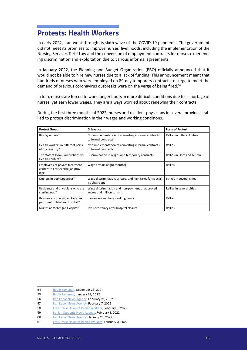#### <span id="page-15-0"></span>**Protests: Health Workers**

In early 2022, Iran went through its sixth wave of the COVID-19 pandemic. The government did not meet its promises to improve nurses' livelihoods, including the implementation of the Nursing Services Tariff Law and the conversion of employment contracts for nurses experiencing discrimination and exploitation due to various informal agreements.

In January 2022, the Planning and Budget Organization (PBO) officially announced that it would not be able to hire new nurses due to a lack of funding. This announcement meant that hundreds of nurses who were employed on 89-day temporary contracts to surge to meet the demand of previous coronavirus outbreaks were on the verge of being fired.<sup>54</sup>

In Iran, nurses are forced to work longer hours in more difficult conditions due to a shortage of nurses, yet earn lower wages. They are always worried about renewing their contracts.

During the first three months of 2022, nurses and resident physicians in several provinces rallied to protest discrimination in their wages and working conditions.

| <b>Protest Group</b>                                                          | Grievance                                                                    | <b>Form of Protest</b>      |
|-------------------------------------------------------------------------------|------------------------------------------------------------------------------|-----------------------------|
| 89-day nurses <sup>55</sup>                                                   | Non-implementation of converting informal contracts<br>to formal contracts   | Rallies in different cities |
| Health workers in different parts<br>of the country <sup>56</sup>             | Non-implementation of converting informal contracts<br>to formal contracts   | Rallies                     |
| The staff of Qom Comprehensive<br>Health Centers <sup>57</sup>                | Discrimination in wages and temporary contracts                              | Rallies in Qom and Tehran   |
| Employees of private treatment<br>centers in East Azerbaijan prov-<br>ince    | Wage arrears (eight months)                                                  | Rallies                     |
| Doctors in deprived areas <sup>58</sup>                                       | Wage discrimination, arrears, and high taxes for special-<br>ist physicians  | Strikes in several cities   |
| Residents and physicians who are<br>starting out <sup>59</sup>                | Wage discrimination and non-payment of approved<br>wages of 6 million tomans | Rallies in several cities   |
| Residents of the gynecology de-<br>partment of Isfahan Hospital <sup>60</sup> | Low salary and long working hours                                            | Rallies                     |
| Nurses at Mehregan Hospital <sup>61</sup>                                     | Job uncertainty after hospital closure                                       | Rallies                     |

<sup>54</sup> [Radio Zamaneh](https://www.radiozamaneh.com/698402), December 28, 2021

<sup>55</sup> [Radio Zamaneh](https://www.radiozamaneh.info/702265), January 29, 2022

<sup>56</sup> [Iran Labor News Agency,](https://www.ilna.news/%D8%A8%D8%AE%D8%B4-%DA%A9%D8%A7%D8%B1%DA%AF%D8%B1%DB%8C-9/1199096-%D8%A7%D8%B9%D8%AA%D8%B1%D8%A7%D8%B6-%D8%A8%D9%87-%D9%85%D8%B3%DA%A9%D9%88%D8%AA-%D9%85%D8%A7%D9%86%D8%AF%D9%86-%D8%AA%D8%A8%D8%AF%DB%8C%D9%84-%D9%88%D8%B6%D8%B9%DB%8C%D8%AA-%D8%A7%D8%B3%D8%AA%D8%AE%D8%AF%D8%A7%D9%85%DB%8C-%D9%85%D8%AF%D8%A7%D9%81%D8%B9%D8%A7%D9%86-%D8%B3%D9%84%D8%A7%D9%85%D8%AA) February 21, 2022

<sup>57</sup> [Iran Labor News Agency,](https://www.ilna.news/%D8%A8%D8%AE%D8%B4-%DA%A9%D8%A7%D8%B1%DA%AF%D8%B1%DB%8C-9/1193305-%D8%A8%D9%84%D8%A7%D8%AA%DA%A9%D9%84%DB%8C%D9%81%DB%8C-%D9%86%DB%8C%D8%B1%D9%88%D9%87%D8%A7%DB%8C-%D8%B4%D8%B1%DA%A9%D8%AA%DB%8C-%D9%85%D8%B1%D8%A7%DA%A9%D8%B2-%D8%AE%D8%AF%D9%85%D8%A7%D8%AA-%D8%AC%D8%A7%D9%85%D8%B9-%D8%B3%D9%84%D8%A7%D9%85%D8%AA-%D8%A7%D8%B3%D8%AA%D8%A7%D9%86-%D9%82%D9%85-%D8%A7%D8%AC%D8%B1%D8%A7%DB%8C-%D8%B7%D8%B1%D8%AD-%D8%AA%D8%A8%D8%AF%DB%8C%D9%84-%D9%88%D8%B6%D8%B9%DB%8C%D8%AA-%D8%B4%D8%BA%D9%84%DB%8C-%D9%85%D8%B3%DA%A9%D9%88%D8%AA-%D8%A7%D8%B3%D8%AA) February 7, 2022

<sup>58</sup> [Free Trade Union of Iranian workers](https://t.me/ettehad/97672), February 3, 2022

<sup>59</sup> [Iranian Students News Agency](https://www.isna.ir/news/1400111209303/%D8%AA%D8%AC%D9%85%D8%B9-%D8%AA%D8%B9%D8%AF%D8%A7%D8%AF%DB%8C-%D8%A7%D8%B2-%D8%B1%D8%B2%DB%8C%D8%AF%D9%86%D8%AA-%D9%87%D8%A7%DB%8C-%D8%B9%D9%84%D9%88%D9%85-%D9%BE%D8%B2%D8%B4%DA%A9%DB%8C-%D8%B2%D9%86%D8%AC%D8%A7%D9%86-%D8%A8%D8%B1%D8%A7%DB%8C-%D9%BE%DB%8C%DA%AF%DB%8C%D8%B1%DB%8C-%D9%85%D8%B7%D8%A7%D9%84%D8%A8%D8%A7%D8%AA), February 1, 2022

<sup>60</sup> [Iran Labor News Agency,](https://www.ilna.news/%D8%A8%D8%AE%D8%B4-%D8%A7%D8%B3%D8%AA%D8%A7%D9%86-%D9%87%D8%A7-15/1187754-%D9%85%D8%B4%DA%A9%D9%84-%D8%B1%D8%B2%DB%8C%D8%AF%D9%86%D8%AA-%D9%87%D8%A7%DB%8C-%D8%B2%D9%86%D8%A7%D9%86-%D8%A2%D9%85%D9%88%D8%B2%D8%B4%DB%8C-%D8%A7%D8%B3%D8%AA-%D8%A2%D9%86%D9%87%D8%A7-%D8%AA%D8%AD%D8%B5%D9%86-%D9%86%DA%A9%D8%B1%D8%AF%D9%86%D8%AF) January 25, 2022

<sup>61</sup> [Free Trade Union of Iranian Workers,](https://t.me/ettehad/97644) February 3, 2022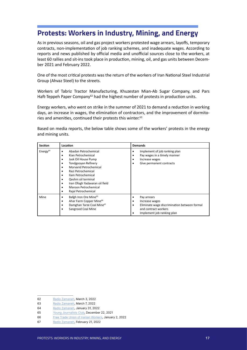# <span id="page-16-0"></span>**Protests: Workers in Industry, Mining, and Energy**

As in previous seasons, oil and gas project workers protested wage arrears, layoffs, temporary contracts, non-implementation of job ranking schemes, and inadequate wages. According to reports and news published by official media and unofficial sources close to the workers, at least 60 rallies and sit-ins took place in production, mining, oil, and gas units between December 2021 and February 2022.

One of the most critical protests was the return of the workers of Iran National Steel Industrial Group (Ahvaz Steel) to the streets.

Workers of Tabriz Tractor Manufacturing, Khuzestan Mian-Ab Sugar Company, and Pars Haft-Teppeh Paper Company<sup>62</sup> had the highest number of protests in production units.

Energy workers, who went on strike in the summer of 2021 to demand a reduction in working days, an increase in wages, the elimination of contractors, and the improvement of dormitories and amenities, continued their protests this winter.<sup>63</sup>

Based on media reports, the below table shows some of the workers' protests in the energy and mining units.

| <b>Section</b>       | Location                                                                                                                                                                                                                                                                                                                   | <b>Demands</b>                                                                                                                           |
|----------------------|----------------------------------------------------------------------------------------------------------------------------------------------------------------------------------------------------------------------------------------------------------------------------------------------------------------------------|------------------------------------------------------------------------------------------------------------------------------------------|
| Energy <sup>64</sup> | Abadan Petrochemical<br>Kian Petrochemical<br>Jask Oil House Pump<br>٠<br><b>Tondgooyan Refinery</b><br>٠<br>Morvarid Petrochemical<br>$\bullet$<br>Razi Petrochemical<br>$\bullet$<br>Ilam Petrochemical<br>Qeshm oil terminal<br>٠<br>Iran Ofogh Yadavaran oil field<br>٠<br>Maroon Petrochemical<br>Rajal Petrochemical | Implement of job ranking plan<br>٠<br>Pay wages in a timely manner<br>Increase wages<br>Give permanent contracts                         |
| Mine                 | Bafgh Iron Ore Mine <sup>65</sup><br>٠<br>Ahar Farm Copper Mine <sup>66</sup><br>٠<br>Damghan Tarze Coal Mine <sup>67</sup><br>Sangrood Coal Mine<br>٠                                                                                                                                                                     | Pay arrears<br>Increase wages<br>Eliminate wage discrimination between formal<br>٠<br>and contract workers<br>Implement job ranking plan |

<sup>62</sup> [Radio Zamaneh](https://www.radiozamaneh.com/706557), March 3, 2022

<sup>63</sup> [Radio Zamaneh](https://www.radiozamaneh.com/707049), March 7, 2022

<sup>64</sup> [Radio Zamaneh](https://www.radiozamaneh.info/702511), January 31, 2022

<sup>65</sup> [Young Journalists Club,](https://www.yjc.news/fa/news/8007541/%D8%AA%D8%AC%D9%85%D8%B9-%DA%A9%D8%A7%D8%B1%DA%AF%D8%B1%D8%A7%D9%86-%D8%B4%D8%B1%DA%A9%D8%AA-%D8%B3%D9%86%DA%AF-%D8%A2%D9%87%D9%86-%D9%85%D8%B1%DA%A9%D8%B2%DB%8C-%D8%A8%D8%A7%D9%81%D9%82) December 22, 2021

<sup>66</sup> [Free Trade Union of Iranian Workers,](https://www.etehad-e.com/%d8%aa%d8%ac%d9%85%d8%b9-%d8%a7%d8%b9%d8%aa%d8%b1%d8%a7%d8%b6%db%8c-%da%a9%d8%a7%d8%b1%da%af%d8%b1%d8%a7%d9%86-%d9%85%d8%b9%d8%af%d9%86-%d9%85%d8%b3-%d9%85%d8%b2%d8%b1%d8%b9%d9%87%e2%80%8c%db%8c/) January 2, 2022

<sup>67</sup> [Radio Zamaneh](https://www.radiozamaneh.info/705153), February 21, 2022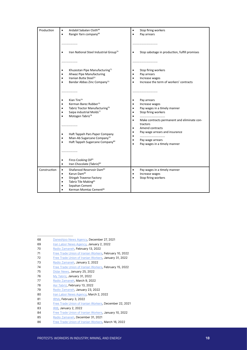| Production   | Ardabil Sabalan Cloth <sup>68</sup><br>٠<br>Rangin Yarn company <sup>69</sup><br>$\bullet$                                                                                                                                                                                                                                                                       | Stop firing workers<br>٠<br>Pay arrears<br>$\bullet$                                                                                                                                                                                                                                                                         |
|--------------|------------------------------------------------------------------------------------------------------------------------------------------------------------------------------------------------------------------------------------------------------------------------------------------------------------------------------------------------------------------|------------------------------------------------------------------------------------------------------------------------------------------------------------------------------------------------------------------------------------------------------------------------------------------------------------------------------|
|              |                                                                                                                                                                                                                                                                                                                                                                  |                                                                                                                                                                                                                                                                                                                              |
|              | Iran National Steel Industrial Group <sup>70</sup>                                                                                                                                                                                                                                                                                                               | Stop sabotage in production, fulfill promises                                                                                                                                                                                                                                                                                |
|              |                                                                                                                                                                                                                                                                                                                                                                  |                                                                                                                                                                                                                                                                                                                              |
|              | Khuzestan Pipe Manufacturing <sup>71</sup><br>Ahwaz Pipe Manufacturing<br>٠<br>Iranian Butia Steel <sup>72</sup><br>٠<br>Bandar Abbas Zinc Company <sup>73</sup>                                                                                                                                                                                                 | Stop firing workers<br>٠<br>Pay arrears<br>٠<br>Increase wages<br>$\bullet$<br>Increase the term of workers' contracts                                                                                                                                                                                                       |
|              |                                                                                                                                                                                                                                                                                                                                                                  |                                                                                                                                                                                                                                                                                                                              |
|              | Kian Tire <sup>74</sup><br>٠<br>Kerman Barez Rubber <sup>75</sup><br>Tabriz Tractor Manufacturing <sup>76</sup><br>٠<br>Saipa industrial Molds <sup>77</sup><br>$\bullet$<br>Motogen Tabriz <sup>78</sup><br>٠<br><br>Haft Tappeh Pars Paper Company<br>٠<br>Mian-Ab Sugarcane Company <sup>79</sup><br>$\bullet$<br>Haft Tappeh Sugarcane Company <sup>80</sup> | Pay arrears<br>٠<br>Increase wages<br>Pay wages in a timely manner<br>٠<br>Stop firing workers<br>$\bullet$<br><br>Make contracts permanent and eliminate con-<br>$\bullet$<br>tractors<br>Amend contracts<br>$\bullet$<br>Pay wage arrears and insurance<br>٠<br>٠<br>Pay wage arrears<br>٠<br>Pay wages in a timely manner |
|              | Firco Cooking Oil <sup>81</sup><br>Iran Chocolate (Tabriz) <sup>82</sup><br>٠                                                                                                                                                                                                                                                                                    |                                                                                                                                                                                                                                                                                                                              |
| Construction | Shafarood Reservoir Dam <sup>83</sup><br>٠<br>Karun Dam <sup>84</sup><br>٠<br>Shirgah Traverse Factory<br>Tabriz Tile Making <sup>85</sup><br>Sepahan Cement<br>Kerman Momtaz Cement <sup>86</sup>                                                                                                                                                               | Pay wages in a timely manner<br>٠<br>Increase wages<br>$\bullet$<br>Stop firing workers                                                                                                                                                                                                                                      |

- 68 [Daneshjoo News Agency](https://www.ghatreh.com/news/nn62034469/%DA%A9%D8%A7%D8%B1%DA%AF%D8%B1%D8%A7%D9%86-%D8%B3%D8%A8%D9%84%D8%A7%D9%86-%D9%BE%D8%A7%D8%B1%DA%86%D9%87-%D8%AA%D8%AC%D9%85%D8%B9-%D8%A7%D8%B9%D8%AA%D8%B1%D8%A7%D8%B6%DB%8C-%D8%A8%D8%B1%DA%AF%D8%B2%D8%A7%D8%B1-%DA%A9%D8%B1%D8%AF%D9%86%D8%AF-%D9%81%DB%8C%D9%84%D9%85), December 27, 2021
- 69 [Iran Labor News Agency,](https://www.ilna.news/%D8%A8%D8%AE%D8%B4-%DA%A9%D8%A7%D8%B1%DA%AF%D8%B1%DB%8C-9/1177491-%DA%A9%D8%A7%D8%B1%DA%AF%D8%B1%D8%A7%D9%86-%D8%B1%D9%86%DA%AF%DB%8C%D9%86-%D9%86%D8%AE-%D8%B3%D9%85%D9%86%D8%A7%D9%86-%D9%85%D9%82%D8%A7%D8%A8%D9%84-%D8%A7%D8%B3%D8%AA%D8%A7%D9%86%D8%AF%D8%A7%D8%B1%DB%8C-%D8%AA%D8%AC%D9%85%D8%B9-%DA%A9%D8%B1%D8%AF%D9%86%D8%AF-%D8%A8%D9%84%D8%A7%D8%AA%DA%A9%D9%84%DB%8C%D9%81%DB%8C-%D9%87%D8%B4%D8%AA-%D8%B3%D8%A7%D9%84%D9%87-%D8%AF%D8%B1-%D8%AF%D8%B1%DB%8C%D8%A7%D9%81%D8%AA-%D9%85%D8%B9%D9%88%D9%82%D8%A7%D8%AA) January 2, 2022
- 70 [Radio Zamaneh](https://www.radiozamaneh.info/704110), February 13, 2022
- 71 [Free Trade Union of Iranian Workers,](https://www.etehad-e.com/%d8%aa%d8%ac%d9%85%d8%b9-%d8%a7%d8%b9%d8%aa%d8%b1%d8%a7%d8%b6%db%8c-%da%a9%d8%a7%d8%b1%da%af%d8%b1%d8%a7%d9%86-%d8%a7%d8%ae%d8%b1%d8%a7%d8%ac%db%8c-%d8%b4%d8%b1%da%a9%d8%aa-%d9%84%d9%88%d9%84%d9%87/) February 10, 2022
- 72 [Free Trade Union of Iranian Workers,](https://www.etehad-e.com/%d8%aa%d8%ac%d9%85%d8%b9-%d8%a7%d8%b9%d8%aa%d8%b1%d8%a7%d8%b6%db%8c-%da%a9%d8%a7%d8%b1%da%af%d8%b1%d8%a7%d9%86-%d9%81%d9%88%d9%84%d8%a7%d8%af-%d8%a8%d9%88%d8%aa%db%8c%d8%a7%db%8c-%d8%a7%db%8c%d8%b1/) January 31, 2022
- 73 [Radio Zamaneh](https://www.radiozamaneh.info/698920), January 2, 2022
- 74 [Free Trade Union of Iranian Workers,](https://www.etehad-e.com/%d8%aa%d8%ac%d9%85%d8%b9-%d8%a7%d8%b9%d8%aa%d8%b1%d8%a7%d8%b6%db%8c-%da%a9%d8%a7%d8%b1%da%af%d8%b1%d8%a7%d9%86-%d8%b4%d8%b1%da%a9%d8%aa-%da%a9%db%8c%d8%a7%d9%86-%d8%aa%d8%a7%db%8c%d8%b1/) February 15, 2022
- 75 [Didar News](https://www.didarnews.ir/fa/news/120024/%D8%A7%D8%B9%D8%AA%D8%B5%D8%A7%D8%A8-%DA%A9%D8%A7%D8%B1%DA%A9%D9%86%D8%A7%D9%86-%DA%A9%D8%A7%D8%B1%D8%AE%D8%A7%D9%86%D9%87-%D9%84%D8%A7%D8%B3%D8%AA%DB%8C%DA%A9-%D8%A8%D8%A7%D8%B1%D8%B2-%DA%A9%D8%B1%D9%85%D8%A7%D9%86-%D9%81%DB%8C%D9%84%D9%85-%D9%88-%D8%B9%DA%A9%D8%B3), January 25, 2022
- 76 [My Tabriz](http://tabrizeman.ir/1400/11/11/%D8%A7%D8%B9%D8%AA%D8%B5%D8%A7%D8%A8-%DA%A9%D8%A7%D8%B1%DA%AF%D8%B1%D8%A7%D9%86-%D8%B4%D8%B1%DA%A9%D8%AA-%D9%85%D9%88%D8%AA%D9%88%D8%B1%D8%B3%D8%A7%D8%B2%D8%A7%D9%86-%D8%AA%D8%B1%D8%A7%DA%A9%D8%AA/), January 31, 2022
- 77 [Radio Zamaneh](https://www.radiozamaneh.info/707320), March 9, 2022
- 78 [Asr Tabriz](https://asrtabriz.com/news/136509/%D8%A7%D8%B9%D8%AA%D8%B5%D8%A7%D8%A8-%DA%A9%D8%A7%D8%B1%DA%AF%D8%B1%D8%A7%D9%86-%D8%B4%D8%B1%DA%A9%D8%AA-%D9%85%D9%88%D8%AA%D9%88%DA%98%D9%86-%D8%AA%D8%A8%D8%B1%DB%8C%D8%B2), February 13, 2022
- 79 [Radio Zamaneh](https://www.radiozamaneh.info/701484), January 23, 2022
- 80 [Iran Labor News Agency,](https://www.ilna.news/%D8%A8%D8%AE%D8%B4-%DA%A9%D8%A7%D8%B1%DA%AF%D8%B1%DB%8C-9/1203133-%D8%AF%D8%B1%D8%AE%D9%88%D8%A7%D8%B3%D8%AA-%DA%A9%D8%A7%D8%B1%DA%AF%D8%B1%D8%A7%D9%86-%D9%81%D8%B5%D9%84%DB%8C-%D9%85%D8%AC%D8%AA%D9%85%D8%B9-%D9%87%D9%81%D8%AA-%D8%AA%D9%BE%D9%87-%D8%A8%D8%B1%D8%A7%DB%8C-%D8%B9%D9%82%D8%AF-%D9%82%D8%B1%D8%A7%D8%B1%D8%AF%D8%A7%D8%AF-%D8%AF%D8%A7%D8%A6%D9%85%DB%8C-%DA%A9%D8%A7%D8%B1) March 2, 2022
- 81 **[IRNA](https://www.irna.ir/news/84637246/%DA%A9%D8%A7%D8%B1%DA%AF%D8%B1%D8%A7%D9%86-%D9%81%D8%B1%DB%8C%DA%A9%D9%88-%D8%AF%D8%B1-%D8%B3%DB%8C%D8%B1%D8%AC%D8%A7%D9%86-%D8%A8%D8%A7%D8%B2-%D8%AA%D8%AC%D9%85%D8%B9-%DA%A9%D8%B1%D8%AF%D9%86%D8%AF)**, February 3, 2022
- 82 [Free Trade Union of Iranian Workers,](https://www.etehad-e.com/%d8%aa%d8%ac%d9%85%d8%b9-%da%a9%d8%a7%d8%b1%da%af%d8%b1%d8%a7%d9%86-%d8%a7%db%8c%d8%b1%d8%a7%d9%86-%d8%b4%da%a9%d9%84%d8%a7%d8%aa-%d8%af%d8%b1-%d8%aa%d8%a8%d8%b1%db%8c%d8%b2/) December 22, 2021
- 83 **IRIB**, January 2, 2022
- 84 [Free Trade Union of Iranian Workers,](https://www.etehad-e.com/%d8%aa%d8%ac%d9%85%d8%b9-%d8%a7%d8%b9%d8%aa%d8%b1%d8%a7%d8%b6%db%8c-%d9%be%d8%b1%d8%b3%d9%86%d9%84-%d8%aa%d8%b1%d8%a7%d8%a8%d8%b1%db%8c-%d8%af%d8%b1%db%8c%d8%a7%db%8c%db%8c-%d8%b3%d8%af-%da%a9%d8%a7/) January 10, 2022
- 85 [Radio Zamaneh](https://www.radiozamaneh.info/698766), December 31, 2021
- 86 [Free Trade Union of Iranian Workers,](https://www.etehad-e.com/%d8%aa%d8%af%d8%a7%d9%88%d9%85-%d8%aa%d8%ac%d9%85%d8%b9-%d8%a7%d8%b9%d8%aa%d8%b1%d8%a7%d8%b6%db%8c-%da%a9%d8%a7%d8%b1%da%af%d8%b1%d8%a7%d9%86-%da%a9%d8%a7%d8%b1%d8%ae%d8%a7%d9%86%d9%87-%d8%b3%db%8c/) March 16, 2022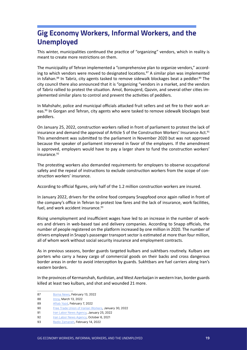# <span id="page-18-0"></span>**Gig Economy Workers, Informal Workers, and the Unemployed**

This winter, municipalities continued the practice of "organizing" vendors, which in reality is meant to create more restrictions on them.

The municipality of Tehran implemented a "comprehensive plan to organize vendors," according to which vendors were moved to designated locations. $87$  A similar plan was implemented in Isfahan.<sup>88</sup> In Tabriz, city agents tasked to remove sidewalk blockages beat a peddler.<sup>89</sup> The city council there also announced that it is "organizing "vendors in a market, and the vendors of Tabriz rallied to protest the situation. Amol, Boroujerd, Qazvin, and several other cities implemented similar plans to control and prevent the activities of peddlers.

In Mahshahr, police and municipal officials attacked fruit sellers and set fire to their work areas.<sup>90</sup> In Gorgan and Tehran, city agents who were tasked to remove sidewalk blockages beat peddlers.

On January 25, 2022, construction workers rallied in front of parliament to protest the lack of insurance and demand the approval of Article 5 of the Construction Workers' Insurance Act.<sup>91</sup> This amendment was submitted to the parliament in November 2020 but was not approved because the speaker of parliament intervened in favor of the employers. If the amendment is approved, employers would have to pay a larger share to fund the construction workers' insurance.92

The protesting workers also demanded requirements for employers to observe occupational safety and the repeal of instructions to exclude construction workers from the scope of construction workers' insurance.

According to official figures, only half of the 1.2 million construction workers are insured.

In January 2022, drivers for the online food company Snappfood once again rallied in front of the company's office in Tehran to protest low fares and the lack of insurance, work facilities, fuel, and work accident insurance.<sup>93</sup>

Rising unemployment and insufficient wages have led to an increase in the number of workers and drivers in web-based taxi and delivery companies. According to Snapp officials, the number of people registered on the platform increased by one million in 2020. The number of drivers employed in Snapp's passenger transport sector is estimated at more than four million, all of whom work without social security insurance and employment contracts.

As in previous seasons, border guards targeted kulbars and sukhtbars routinely. Kulbars are porters who carry a heavy cargo of commercial goods on their backs and cross dangerous border areas in order to avoid interception by guards. Sukhtbars are fuel carriers along Iran's eastern borders.

In the provinces of Kermanshah, Kurdistan, and West Azerbaijan in western Iran, border guards killed at least two kulbars, and shot and wounded 21 more.

<sup>87</sup> [Borna News](https://www.borna.news/%D8%A8%D8%AE%D8%B4-%D8%A7%D8%AC%D8%AA%D9%85%D8%A7%D8%B9%DB%8C-4/1298217-%D8%A2%D8%BA%D8%A7%D8%B2-%D8%B7%D8%B1%D8%AD-%D8%AC%D8%A7%D9%85%D8%B9-%D8%B3%D8%A7%D9%85%D8%A7%D9%86%D8%AF%D9%87%DB%8C-%D8%AF%D8%B3%D8%AA%D9%81%D8%B1%D9%88%D8%B4%D8%A7%D9%86-%D8%A7%D8%B3%D8%AA%D9%82%D8%A8%D8%A7%D9%84-%D8%AF%D8%B3%D8%AA%D9%81%D8%B1%D9%88%D8%B4%D8%A7%D9%86-%D8%A7%D8%B2-%D8%A7%DB%8C%D9%86-%D8%B7%D8%B1%D8%AD), February 13, 2022

<sup>88</sup> **Imna**, March 13, 2022

<sup>89</sup> [Aftab Yazd](https://www.pishkhan.com/news/257691), February 7, 2022

<sup>90</sup> [Free Trade Union of Iranian Workers,](https://www.etehad-e.com/%d9%85%d8%a7%d9%85%d9%88%d8%b1%d8%a7%d9%86-%d8%b4%d9%87%d8%b1%d8%af%d8%a7%d8%b1%db%8c-%d8%a8%d8%b3%d8%a7%d8%b7-%d9%85%db%8c%d9%88%d9%87%d9%81%d8%b1%d9%88%d8%b4%d8%a7%d9%86-%d8%af%d8%b1-%d8%a8/) January 30, 2022

<sup>91</sup> [Iran Labor News Agency,](https://www.ilna.news/fa/tiny/news-1187737) January 25, 2022

<sup>92</sup> [Iran Labor News Agency,](https://www.ilna.news/%D8%A8%D8%AE%D8%B4-%DA%A9%D8%A7%D8%B1%DA%AF%D8%B1%DB%8C-9/1139281-%D8%AF%D8%A7%D8%B3%D8%AA%D8%A7%D9%86-%D9%86%D8%A7%D8%AA%D9%85%D8%A7%D9%85-%D8%A7%D8%B5%D9%84%D8%A7%D8%AD-%D9%85%D8%A7%D8%AF%D9%87-%D8%A8%DB%8C%D9%85%D9%87-%DA%A9%D8%A7%D8%B1%DA%AF%D8%B1%D8%A7%D9%86-%D8%B3%D8%A7%D8%AE%D8%AA%D9%85%D8%A7%D9%86%DB%8C-%D8%AA%D9%84%D8%A7%D8%B4-%D9%81%D8%B1%D8%A7%DA%A9%D8%B3%DB%8C%D9%88%D9%86-%DA%A9%D8%A7%D8%B1%DA%AF%D8%B1%DB%8C-%D9%85%D8%B7%D9%84%D9%88%D8%A8-%D9%86%DB%8C%D8%B3%D8%AA-%D8%A7%DB%8C%D8%B3%D8%AA%D8%A7%D8%AF%DA%AF%DB%8C-%D8%B9%D8%AC%DB%8C%D8%A8-%D9%86%D9%85%D8%A7%DB%8C%D9%86%D8%AF%DA%AF%D8%A7%D9%86-%D8%AF%D8%B1-%D8%A8%D8%B1%D8%A7%D8%A8%D8%B1-%DA%A9%D8%A7%D8%B1%DA%AF%D8%B1%D8%A7%D9%86) October 6, 2021

<sup>93</sup> [Radio Zamaneh](https://www.radiozamaneh.com/704168), February 14, 2022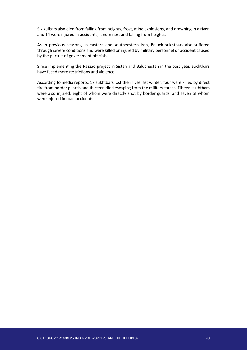Six kulbars also died from falling from heights, frost, mine explosions, and drowning in a river, and 14 were injured in accidents, landmines, and falling from heights.

As in previous seasons, in eastern and southeastern Iran, Baluch sukhtbars also suffered through severe conditions and were killed or injured by military personnel or accident caused by the pursuit of government officials.

Since implementing the Razzaq project in Sistan and Baluchestan in the past year, sukhtbars have faced more restrictions and violence.

According to media reports, 17 sukhtbars lost their lives last winter: four were killed by direct fire from border guards and thirteen died escaping from the military forces. Fifteen sukhtbars were also injured, eight of whom were directly shot by border guards, and seven of whom were injured in road accidents.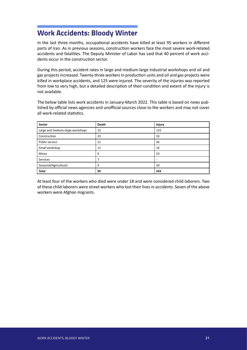# <span id="page-20-0"></span>**Work Accidents: Bloody Winter**

In the last three months, occupational accidents have killed at least 95 workers in different parts of Iran. As in previous seasons, construction workers face the most severe work-related accidents and fatalities. The Deputy Minister of Labor has said that 40 percent of work accidents occur in the construction sector.

During this period, accident rates in large and medium-large industrial workshops and oil and gas projects increased. Twenty-three workers in production units and oil and gas projects were killed in workplace accidents, and 125 were injured. The severity of the injuries was reported from low to very high, but a detailed description of their condition and extent of the injury is not available.

The below table lists work accidents in January-March 2022. This table is based on news published by official news agencies and unofficial sources close to the workers and may not cover all work-related statistics.

| Sector                           | Death          | <b>Injury</b>            |
|----------------------------------|----------------|--------------------------|
| Large and medium-large workshops | 23             | 125                      |
| Construction                     | 23             | 33                       |
| Public service                   | 21             | 26                       |
| Small workshop                   | 11             | 16                       |
| Mines                            | 6              | 23                       |
| Services                         | 7              | $\overline{\phantom{0}}$ |
| Seasonal/Agricultural            | $\overline{4}$ | 20                       |
| <b>Total</b>                     | 95             | 243                      |

At least four of the workers who died were under 18 and were considered child laborers. Two of these child laborers were street workers who lost their lives in accidents. Seven of the above workers were Afghan migrants.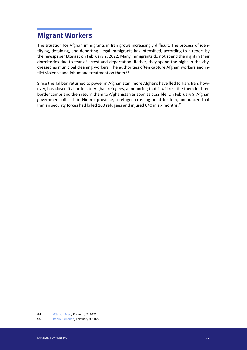# <span id="page-21-0"></span>**Migrant Workers**

The situation for Afghan immigrants in Iran grows increasingly difficult. The process of identifying, detaining, and deporting illegal immigrants has intensified, according to a report by the newspaper Ettelaat on February 2, 2022. Many immigrants do not spend the night in their dormitories due to fear of arrest and deportation. Rather, they spend the night in the city, dressed as municipal cleaning workers. The authorities often capture Afghan workers and inflict violence and inhumane treatment on them.<sup>94</sup>

Since the Taliban returned to power in Afghanistan, more Afghans have fled to Iran. Iran, however, has closed its borders to Afghan refugees, announcing that it will resettle them in three border camps and then return them to Afghanistan as soon as possible. On February 9, Afghan government officials in Nimroz province, a refugee crossing point for Iran, announced that Iranian security forces had killed 100 refugees and injured 640 in six months.<sup>95</sup>

<sup>94</sup> [Ettelaat Rooz,](https://www.etilaatroz.com/135807/not-to-walk-not-to-swing-increase-in-forced-expulsion-of-afghan-workers-from-iran/) February 2, 2022

<sup>95</sup> [Radio Zamaneh](https://www.radiozamaneh.com/703675), February 9, 2022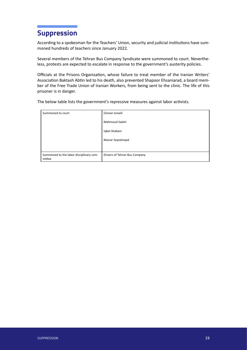# <span id="page-22-0"></span>**Suppression**

According to a spokesman for the Teachers' Union, security and judicial institutions have summoned hundreds of teachers since January 2022.

Several members of the Tehran Bus Company Syndicate were summoned to court. Nevertheless, protests are expected to escalate in response to the government's austerity policies.

Officials at the Prisons Organization, whose failure to treat member of the Iranian Writers' Association Baktash Abtin led to his death, also prevented Shapoor Ehsaniarad, a board member of the Free Trade Union of Iranian Workers, from being sent to the clinic. The life of this prisoner is in danger.

The below table lists the government's repressive measures against labor activists.

| Summoned to court                                 | Osman Ismaili                 |
|---------------------------------------------------|-------------------------------|
|                                                   | Mahmoud Salehi                |
|                                                   | Iqbal Shabani                 |
|                                                   | Maziar Seyednejad             |
|                                                   |                               |
| Summoned to the labor disciplinary com-<br>mittee | Drivers of Tehran Bus Company |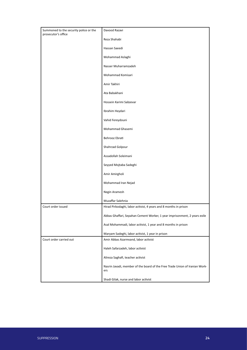| Summoned to the security police or the | Davood Razavi                                                                      |
|----------------------------------------|------------------------------------------------------------------------------------|
| prosecutor's office                    |                                                                                    |
|                                        | Reza Shahabi                                                                       |
|                                        | Hassan Saeedi                                                                      |
|                                        | Mohammad Aslaghi                                                                   |
|                                        | Nasser Muharramzadeh                                                               |
|                                        | Mohammad Komisari                                                                  |
|                                        | Amir Takhiri                                                                       |
|                                        | Ata Babakhani                                                                      |
|                                        | Hossein Karimi Sabzevar                                                            |
|                                        | Ibrahim Heydari                                                                    |
|                                        | Vahid Fereydouni                                                                   |
|                                        | Mohammad Ghasemi                                                                   |
|                                        | Behrooz Ebrati                                                                     |
|                                        | Shahrzad Golpour                                                                   |
|                                        | Assadollah Soleimani                                                               |
|                                        | Seyyed Mojtaba Sadeghi                                                             |
|                                        | Amir Amirgholi                                                                     |
|                                        | Mohammad Iran Nejad                                                                |
|                                        | Negin Aramesh                                                                      |
|                                        | Muzaffar Salehnia                                                                  |
| Court order issued                     | Hirad Pirbodaghi, labor activist, 4 years and 8 months in prison                   |
|                                        | Abbas Ghaffari, Sepahan Cement Worker, 1 year imprisonment, 2 years exile          |
|                                        | Asal Mohammadi, labor activist, 1 year and 8 months in prison                      |
|                                        | Maryam Sadeghi, labor activist, 1 year in prison                                   |
| Court order carried out                | Amir Abbas Azarmvand, labor activist                                               |
|                                        | Haleh Safarzadeh, labor activist                                                   |
|                                        | Alireza Saghafi, teacher activist                                                  |
|                                        | Nasrin Javadi, member of the board of the Free Trade Union of Iranian Work-<br>ers |
|                                        | Shadi Gilak, nurse and labor activist                                              |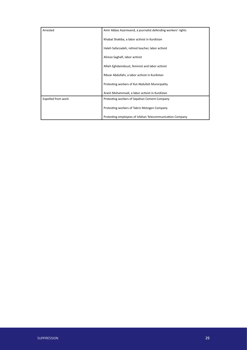| Arrested           | Amir Abbas Azarmvand, a journalist defending workers' rights |
|--------------------|--------------------------------------------------------------|
|                    | Khabat Shakiba, a labor activist in Kurdistan                |
|                    | Haleh Safarzadeh, retired teacher, labor activist            |
|                    | Alireza Saghafi, labor activist                              |
|                    | Allieh Eghdamdoust, feminist and labor activist              |
|                    | Ribvar Abdullahi, a labor activist in Kurdistan              |
|                    | Protesting workers of Kut Abdullah Municipality              |
|                    | Arash Mohammadi, a labor activist in Kurdistan               |
| Expelled from work | Protesting workers of Sepahan Cement Company                 |
|                    | Protesting workers of Tabriz Motogen Company                 |
|                    | Protesting employees of Isfahan Telecommunication Company    |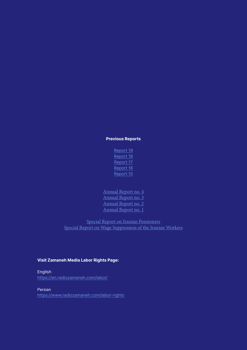#### Previous Reports

- [Report 19](https://downloads.zamaneh.com/labor-rights-dec-2021-en-pdf) [Report 18](https://www.radiozamaneh.info/u/wp-content/uploads/2021/11/LaborRightsReport-no18-July-September-2021en.pdf) [Report 17](https://www.tribunezamaneh.com/download/272378/?version=pdf) [Report 16](https://www.tribunezamaneh.com/download/261312/?version=pdf) [Report 15](https://www.tribunezamaneh.com/download/251734/?version=pdf)
- [Annual Report no. 4](https://downloads.zamaneh.com/labor-annual-2022-en-pdf) [Annual Report no. 3](https://www.tribunezamaneh.com/download/263555/?version=pdf) [Annual Report no. 2](https://www.tribunezamaneh.com/download/227444/?version=pdf) [Annual Report no. 1](https://www.tribunezamaneh.com/download/195111/?version=pdf)

[Special Report on Iranian Pensioners](https://downloads.zamaneh.com/LaborRights-Retirees-en-pdf) Special [Report on Wage Suppression of the Iranian Workers](https://www.tribunezamaneh.com/download/264026/?version=pdf)

#### Visit Zamaneh Media Labor Rights Page:

English <https://en.radiozamaneh.com/labor/>

Persian https://www.radiozamaneh.com/labor-rights